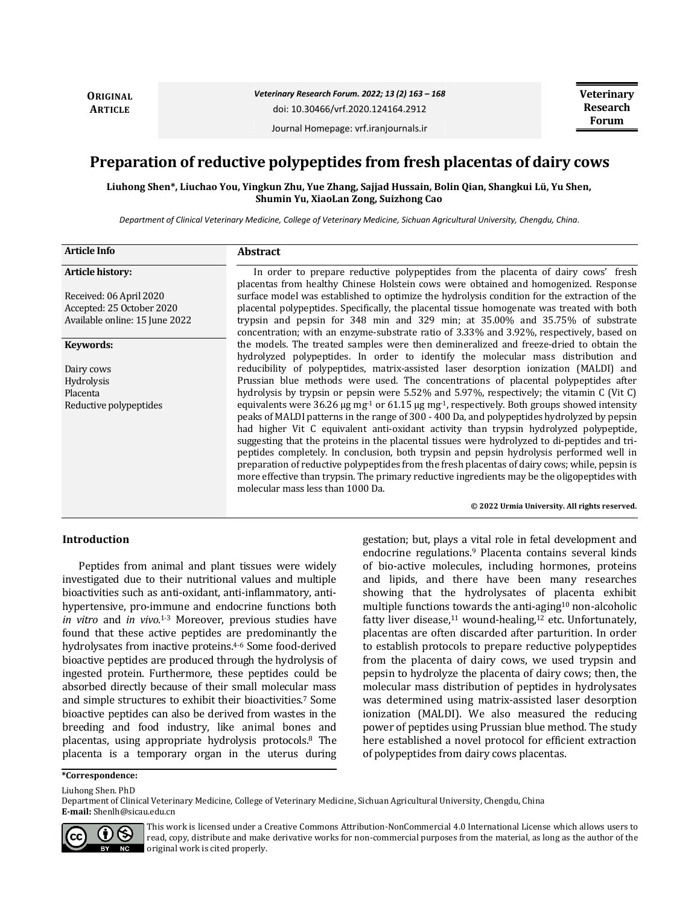**ORIGINAL ARTICLE**

*Veterinary Research Forum. 2022; 13 (2) 163 – 168*

doi: 10.30466/vrf.2020.124164.2912

Journal Homepage: vrf.iranjournals.ir

# **Preparation of reductive polypeptides from fresh placentas of dairy cows**

**Liuhong Shen\*, Liuchao You, Yingkun Zhu, Yue Zhang, Sajjad Hussain, Bolin Qian, Shangkui Lü, Yu Shen, Shumin Yu, XiaoLan Zong, Suizhong Cao**

*Department of Clinical Veterinary Medicine, College of Veterinary Medicine, Sichuan Agricultural University, Chengdu, China.*

| <b>Article Info</b>            | Abstract                                                                                                                                                                                                                                                                                                                                                                                                                                                                                                                                                                                                                                                                                                                                                    |
|--------------------------------|-------------------------------------------------------------------------------------------------------------------------------------------------------------------------------------------------------------------------------------------------------------------------------------------------------------------------------------------------------------------------------------------------------------------------------------------------------------------------------------------------------------------------------------------------------------------------------------------------------------------------------------------------------------------------------------------------------------------------------------------------------------|
| <b>Article history:</b>        | In order to prepare reductive polypeptides from the placenta of dairy cows' fresh<br>placentas from healthy Chinese Holstein cows were obtained and homogenized. Response                                                                                                                                                                                                                                                                                                                                                                                                                                                                                                                                                                                   |
| Received: 06 April 2020        | surface model was established to optimize the hydrolysis condition for the extraction of the                                                                                                                                                                                                                                                                                                                                                                                                                                                                                                                                                                                                                                                                |
| Accepted: 25 October 2020      | placental polypeptides. Specifically, the placental tissue homogenate was treated with both                                                                                                                                                                                                                                                                                                                                                                                                                                                                                                                                                                                                                                                                 |
| Available online: 15 June 2022 | trypsin and pepsin for 348 min and 329 min; at 35.00% and 35.75% of substrate<br>concentration; with an enzyme-substrate ratio of 3.33% and 3.92%, respectively, based on                                                                                                                                                                                                                                                                                                                                                                                                                                                                                                                                                                                   |
| Keywords:                      | the models. The treated samples were then demineralized and freeze-dried to obtain the<br>hydrolyzed polypeptides. In order to identify the molecular mass distribution and                                                                                                                                                                                                                                                                                                                                                                                                                                                                                                                                                                                 |
| Dairy cows                     | reducibility of polypeptides, matrix-assisted laser desorption ionization (MALDI) and                                                                                                                                                                                                                                                                                                                                                                                                                                                                                                                                                                                                                                                                       |
| Hydrolysis                     | Prussian blue methods were used. The concentrations of placental polypeptides after                                                                                                                                                                                                                                                                                                                                                                                                                                                                                                                                                                                                                                                                         |
| Placenta                       | hydrolysis by trypsin or pepsin were 5.52% and 5.97%, respectively; the vitamin C (Vit C)                                                                                                                                                                                                                                                                                                                                                                                                                                                                                                                                                                                                                                                                   |
| Reductive polypeptides         | equivalents were 36.26 $\mu$ g mg <sup>-1</sup> or 61.15 $\mu$ g mg <sup>-1</sup> , respectively. Both groups showed intensity<br>peaks of MALDI patterns in the range of 300 - 400 Da, and polypeptides hydrolyzed by pepsin<br>had higher Vit C equivalent anti-oxidant activity than trypsin hydrolyzed polypeptide,<br>suggesting that the proteins in the placental tissues were hydrolyzed to di-peptides and tri-<br>peptides completely. In conclusion, both trypsin and pepsin hydrolysis performed well in<br>preparation of reductive polypeptides from the fresh placentas of dairy cows; while, pepsin is<br>more effective than trypsin. The primary reductive ingredients may be the oligopeptides with<br>molecular mass less than 1000 Da. |

#### **© 2022 Urmia University. All rights reserved.**

# **Introduction**

Peptides from animal and plant tissues were widely investigated due to their nutritional values and multiple bioactivities such as anti-oxidant, anti-inflammatory, antihypertensive, pro-immune and endocrine functions both *in vitro* and *in vivo*. 1-3 Moreover, previous studies have found that these active peptides are predominantly the hydrolysates from inactive proteins.<sup>4-6</sup> Some food-derived bioactive peptides are produced through the hydrolysis of ingested protein. Furthermore, these peptides could be absorbed directly because of their small molecular mass and simple structures to exhibit their bioactivities.<sup>7</sup> Some bioactive peptides can also be derived from wastes in the breeding and food industry, like animal bones and placentas, using appropriate hydrolysis protocols.<sup>8</sup> The placenta is a temporary organ in the uterus during gestation; but, plays a vital role in fetal development and endocrine regulations.<sup>9</sup> Placenta contains several kinds of bio-active molecules, including hormones, proteins and lipids, and there have been many researches showing that the hydrolysates of placenta exhibit multiple functions towards the anti-aging<sup>10</sup> non-alcoholic fatty liver disease,<sup>11</sup> wound-healing,<sup>12</sup> etc. Unfortunately, placentas are often discarded after parturition. In order to establish protocols to prepare reductive polypeptides from the placenta of dairy cows, we used trypsin and pepsin to hydrolyze the placenta of dairy cows; then, the molecular mass distribution of peptides in hydrolysates was determined using matrix-assisted laser desorption ionization (MALDI). We also measured the reducing power of peptides using Prussian blue method. The study here established a novel protocol for efficient extraction of polypeptides from dairy cows placentas.

#### **\*Correspondence:**

Liuhong Shen. PhD

Department of Clinical Veterinary Medicine, College of Veterinary Medicine, Sichuan Agricultural University, Chengdu, China **E-mail:** Shenlh@sicau.edu.cn



This work is licensed under a [Creative Commons Attribution-NonCommercial 4.0 International License](http://creativecommons.org/licenses/by-nc/4.0/) which allows users to read, copy, distribute and make derivative works for non-commercial purposes from the material, as long as the author of the original work is cited properly.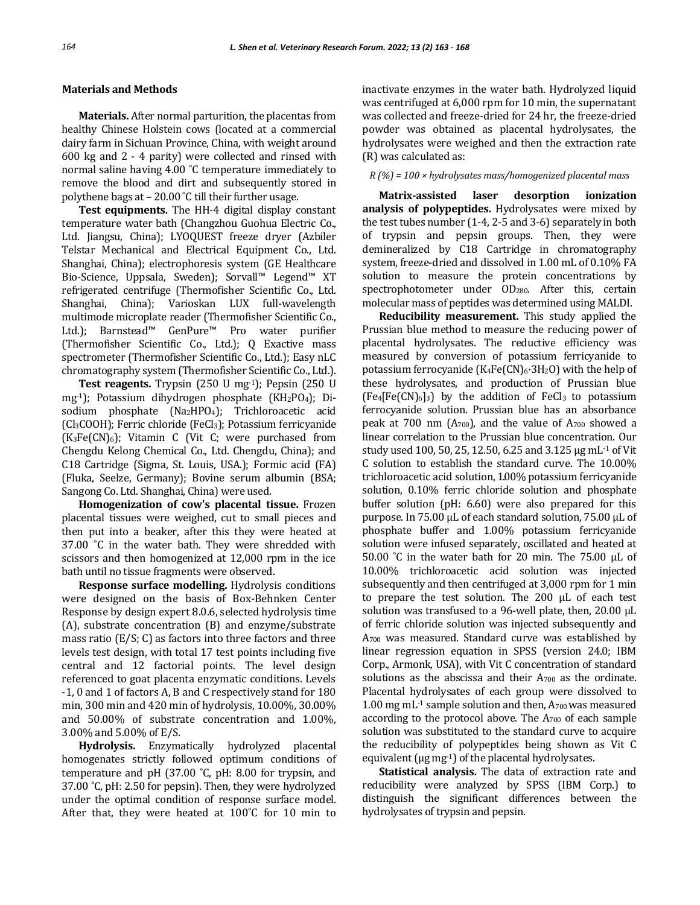### **Materials and Methods**

**Materials.** After normal parturition, the placentas from healthy Chinese Holstein cows (located at a commercial dairy farm in Sichuan Province, China, with weight around 600 kg and 2 - 4 parity) were collected and rinsed with normal saline having 4.00 ˚C temperature immediately to remove the blood and dirt and subsequently stored in polythene bags at – 20.00 ˚C till their further usage.

**Test equipments.** The HH-4 digital display constant temperature water bath (Changzhou Guohua Electric Co., Ltd. Jiangsu, China); LYOQUEST freeze dryer (Azbiler Telstar Mechanical and Electrical Equipment Co., Ltd. Shanghai, China); electrophoresis system (GE Healthcare Bio-Science, Uppsala, Sweden); Sorvall™ Legend™ XT refrigerated centrifuge (Thermofisher Scientific Co., Ltd. Shanghai, China); Varioskan LUX full-wavelength multimode microplate reader (Thermofisher Scientific Co., Ltd.); Barnstead™ GenPure™ Pro water purifier (Thermofisher Scientific Co., Ltd.); Q Exactive mass spectrometer (Thermofisher Scientific Co., Ltd.); Easy nLC chromatography system (Thermofisher Scientific Co., Ltd.).

**Test reagents.** Trypsin (250 U mg-1); Pepsin (250 U mg<sup>-1</sup>); Potassium dihydrogen phosphate (KH<sub>2</sub>PO<sub>4</sub>); Disodium phosphate (Na2HPO4); Trichloroacetic acid (Cl3COOH); Ferric chloride (FeCl3); Potassium ferricyanide  $(K_3Fe(CN)_6)$ ; Vitamin C (Vit C; were purchased from Chengdu Kelong Chemical Co., Ltd. Chengdu, China); and C18 Cartridge (Sigma, St. Louis, USA.); Formic acid (FA) (Fluka, Seelze, Germany); Bovine serum albumin (BSA; Sangong Co. Ltd. Shanghai, China) were used.

**Homogenization of cow's placental tissue.** Frozen placental tissues were weighed, cut to small pieces and then put into a beaker, after this they were heated at 37.00 ˚C in the water bath. They were shredded with scissors and then homogenized at 12,000 rpm in the ice bath until no tissue fragments were observed.

**Response surface modelling.** Hydrolysis conditions were designed on the basis of Box-Behnken Center Response by design expert 8.0.6, selected hydrolysis time (A), substrate concentration (B) and enzyme/substrate mass ratio (E/S; C) as factors into three factors and three levels test design, with total 17 test points including five central and 12 factorial points. The level design referenced to goat placenta enzymatic conditions. Levels -1, 0 and 1 of factors A, B and C respectively stand for 180 min, 300 min and 420 min of hydrolysis, 10.00%, 30.00% and 50.00% of substrate concentration and 1.00%, 3.00% and 5.00% of E/S.

**Hydrolysis.** Enzymatically hydrolyzed placental homogenates strictly followed optimum conditions of temperature and pH (37.00 ˚C, pH: 8.00 for trypsin, and 37.00 ˚C, pH: 2.50 for pepsin). Then, they were hydrolyzed under the optimal condition of response surface model. After that, they were heated at 100˚C for 10 min to

inactivate enzymes in the water bath. Hydrolyzed liquid was centrifuged at 6,000 rpm for 10 min, the supernatant was collected and freeze-dried for 24 hr, the freeze-dried powder was obtained as placental hydrolysates, the hydrolysates were weighed and then the extraction rate (R) was calculated as:

# *R (%) = 100 × hydrolysates mass/homogenized placental mass*

**Matrix-assisted laser desorption ionization analysis of polypeptides.** Hydrolysates were mixed by the test tubes number (1-4, 2-5 and 3-6) separately in both of trypsin and pepsin groups. Then, they were demineralized by C18 Cartridge in chromatography system, freeze-dried and dissolved in 1.00 mL of 0.10% FA solution to measure the protein concentrations by spectrophotometer under OD280. After this, certain molecular mass of peptides was determined using MALDI.

**Reducibility measurement.** This study applied the Prussian blue method to measure the reducing power of placental hydrolysates. The reductive efficiency was measured by conversion of potassium ferricyanide to potassium ferrocyanide ( $K_4Fe(CN)_6.3H_2O$ ) with the help of these hydrolysates, and production of Prussian blue  $[Fe4[Fe(CN)_6]_3]$  by the addition of FeCl<sub>3</sub> to potassium ferrocyanide solution. Prussian blue has an absorbance peak at 700 nm (A700), and the value of A<sup>700</sup> showed a linear correlation to the Prussian blue concentration. Our study used 100, 50, 25, 12.50, 6.25 and 3.125 μg mL-1 of Vit C solution to establish the standard curve. The 10.00% trichloroacetic acid solution, 1.00% potassium ferricyanide solution, 0.10% ferric chloride solution and phosphate buffer solution (pH: 6.60) were also prepared for this purpose. In 75.00 μL of each standard solution, 75.00 μL of phosphate buffer and 1.00% potassium ferricyanide solution were infused separately, oscillated and heated at 50.00 ˚C in the water bath for 20 min. The 75.00 μL of 10.00% trichloroacetic acid solution was injected subsequently and then centrifuged at 3,000 rpm for 1 min to prepare the test solution. The 200 μL of each test solution was transfused to a 96-well plate, then, 20.00 μL of ferric chloride solution was injected subsequently and A<sup>700</sup> was measured. Standard curve was established by linear regression equation in SPSS (version 24.0; IBM Corp., Armonk, USA), with Vit C concentration of standard solutions as the abscissa and their A<sub>700</sub> as the ordinate. Placental hydrolysates of each group were dissolved to 1.00 mg mL-1 sample solution and then, A700 was measured according to the protocol above. The  $A_{700}$  of each sample solution was substituted to the standard curve to acquire the reducibility of polypeptides being shown as Vit C equivalent (μg mg-1) of the placental hydrolysates.

**Statistical analysis.** The data of extraction rate and reducibility were analyzed by SPSS (IBM Corp.) to distinguish the significant differences between the hydrolysates of trypsin and pepsin.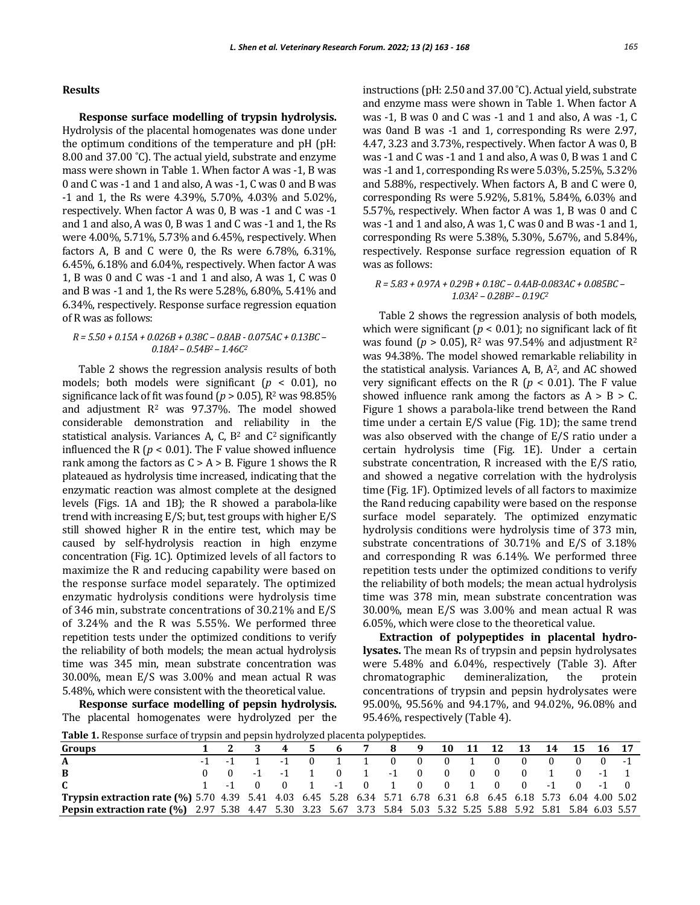#### **Results**

**Response surface modelling of trypsin hydrolysis.**  Hydrolysis of the placental homogenates was done under the optimum conditions of the temperature and pH (pH: 8.00 and 37.00 ˚C). The actual yield, substrate and enzyme mass were shown in Table 1. When factor A was -1, B was 0 and C was -1 and 1 and also, A was -1, C was 0 and B was -1 and 1, the Rs were 4.39%, 5.70%, 4.03% and 5.02%, respectively. When factor A was 0, B was -1 and C was -1 and 1 and also, A was 0, B was 1 and C was -1 and 1, the Rs were 4.00%, 5.71%, 5.73% and 6.45%, respectively. When factors A, B and C were 0, the Rs were 6.78%, 6.31%, 6.45%, 6.18% and 6.04%, respectively. When factor A was 1, B was 0 and C was -1 and 1 and also, A was 1, C was 0 and B was -1 and 1, the Rs were 5.28%, 6.80%, 5.41% and 6.34%, respectively. Response surface regression equation of R was as follows:

#### *R = 5.50 + 0.15A + 0.026B + 0.38C – 0.8AB - 0.075AC + 0.13BC – 0.18A<sup>2</sup> – 0.54B<sup>2</sup> – 1.46C<sup>2</sup>*

Table 2 shows the regression analysis results of both models; both models were significant  $(p < 0.01)$ , no significance lack of fit was found ( $p > 0.05$ ),  $R<sup>2</sup>$  was 98.85% and adjustment  $R^2$  was 97.37%. The model showed considerable demonstration and reliability in the statistical analysis. Variances A, C,  $B<sup>2</sup>$  and  $C<sup>2</sup>$  significantly influenced the R ( $p < 0.01$ ). The F value showed influence rank among the factors as  $C > A > B$ . Figure 1 shows the R plateaued as hydrolysis time increased, indicating that the enzymatic reaction was almost complete at the designed levels (Figs. 1A and 1B); the R showed a parabola-like trend with increasing E/S; but, test groups with higher E/S still showed higher R in the entire test, which may be caused by self-hydrolysis reaction in high enzyme concentration (Fig. 1C). Optimized levels of all factors to maximize the R and reducing capability were based on the response surface model separately. The optimized enzymatic hydrolysis conditions were hydrolysis time of 346 min, substrate concentrations of 30.21% and E/S of 3.24% and the R was 5.55%. We performed three repetition tests under the optimized conditions to verify the reliability of both models; the mean actual hydrolysis time was 345 min, mean substrate concentration was 30.00%, mean E/S was 3.00% and mean actual R was 5.48%, which were consistent with the theoretical value.

**Response surface modelling of pepsin hydrolysis.**  The placental homogenates were hydrolyzed per the instructions (pH: 2.50 and 37.00 ˚C). Actual yield, substrate and enzyme mass were shown in Table 1. When factor A was -1, B was 0 and C was -1 and 1 and also, A was -1, C was 0and B was -1 and 1, corresponding Rs were 2.97, 4.47, 3.23 and 3.73%, respectively. When factor A was 0, B was -1 and C was -1 and 1 and also, A was 0, B was 1 and C was -1 and 1, corresponding Rs were 5.03%, 5.25%, 5.32% and 5.88%, respectively. When factors A, B and C were 0, corresponding Rs were 5.92%, 5.81%, 5.84%, 6.03% and 5.57%, respectively. When factor A was 1, B was 0 and C was -1 and 1 and also, A was 1, C was 0 and B was -1 and 1, corresponding Rs were 5.38%, 5.30%, 5.67%, and 5.84%, respectively. Response surface regression equation of R was as follows:

#### *R = 5.83 + 0.97A + 0.29B + 0.18C – 0.4AB-0.083AC + 0.085BC – 1.03A<sup>2</sup> – 0.28B2 – 0.19C<sup>2</sup>*

Table 2 shows the regression analysis of both models, which were significant  $(p < 0.01)$ ; no significant lack of fit was found ( $p > 0.05$ ),  $R^2$  was 97.54% and adjustment  $R^2$ was 94.38%. The model showed remarkable reliability in the statistical analysis. Variances A, B,  $A^2$ , and AC showed very significant effects on the R ( $p < 0.01$ ). The F value showed influence rank among the factors as  $A > B > C$ . Figure 1 shows a parabola-like trend between the Rand time under a certain E/S value (Fig. 1D); the same trend was also observed with the change of E/S ratio under a certain hydrolysis time (Fig. 1E). Under a certain substrate concentration, R increased with the E/S ratio, and showed a negative correlation with the hydrolysis time (Fig. 1F). Optimized levels of all factors to maximize the Rand reducing capability were based on the response surface model separately. The optimized enzymatic hydrolysis conditions were hydrolysis time of 373 min, substrate concentrations of 30.71% and E/S of 3.18% and corresponding R was 6.14%. We performed three repetition tests under the optimized conditions to verify the reliability of both models; the mean actual hydrolysis time was 378 min, mean substrate concentration was 30.00%, mean E/S was 3.00% and mean actual R was 6.05%, which were close to the theoretical value.

**Extraction of polypeptides in placental hydrolysates.** The mean Rs of trypsin and pepsin hydrolysates were 5.48% and 6.04%, respectively (Table 3). After chromatographic demineralization, the protein concentrations of trypsin and pepsin hydrolysates were 95.00%, 95.56% and 94.17%, and 94.02%, 96.08% and 95.46%, respectively (Table 4).

**Table 1.** Response surface of trypsin and pepsin hydrolyzed placenta polypeptides.

| <b>Table 1.</b> Response surface of a ypsin and pepsin hydrofyzed placelita polypeptides.                              |  |             |                                                 |  |               |  |                           |  |  |  |  |                             |  |  |
|------------------------------------------------------------------------------------------------------------------------|--|-------------|-------------------------------------------------|--|---------------|--|---------------------------|--|--|--|--|-----------------------------|--|--|
| Groups                                                                                                                 |  |             |                                                 |  | 4 5           |  | 6 7                       |  |  |  |  | 8 9 10 11 12 13 14 15 16 17 |  |  |
| A                                                                                                                      |  |             | $-1$ $-1$ $1$ $-1$ 0 1 1 0 0 0 1 0 0 0 0 0 $-1$ |  |               |  |                           |  |  |  |  |                             |  |  |
| <sup>B</sup>                                                                                                           |  | $0 \quad 0$ |                                                 |  | $-1$ $-1$ $1$ |  | 0 1 -1 0 0 0 0 0 1 0 -1 1 |  |  |  |  |                             |  |  |
| $\mathbf{C}$                                                                                                           |  |             |                                                 |  |               |  |                           |  |  |  |  |                             |  |  |
| Trypsin extraction rate (%) 5.70 4.39 5.41 4.03 6.45 5.28 6.34 5.71 6.78 6.31 6.8 6.45 6.18 5.73 6.04 4.00 5.02        |  |             |                                                 |  |               |  |                           |  |  |  |  |                             |  |  |
| <b>Pepsin extraction rate (%)</b> 2.97 5.38 4.47 5.30 3.23 5.67 3.73 5.84 5.03 5.32 5.25 5.88 5.92 5.81 5.84 6.03 5.57 |  |             |                                                 |  |               |  |                           |  |  |  |  |                             |  |  |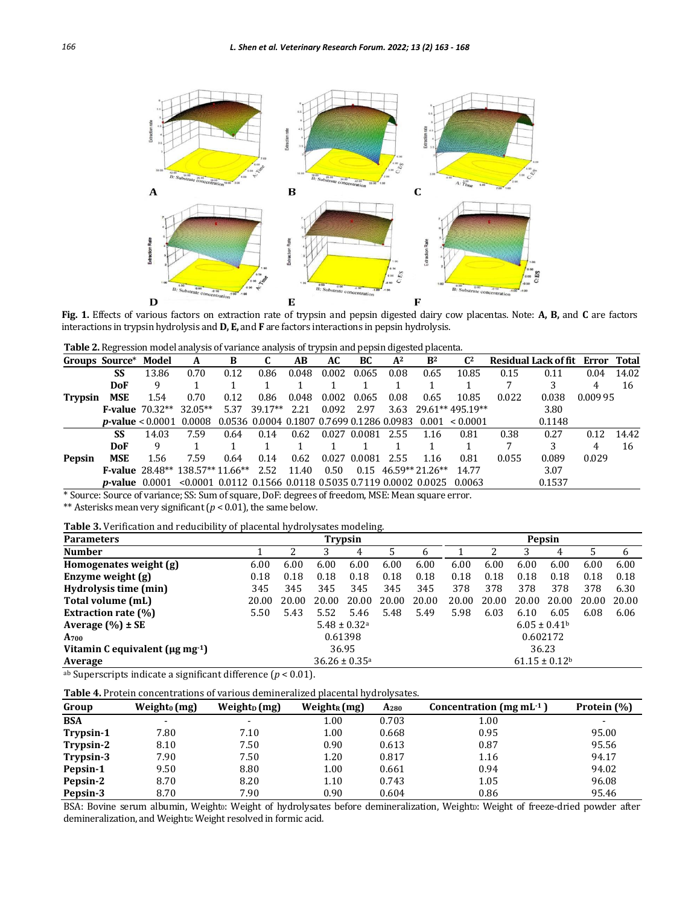

**Fig. 1.** Effects of various factors on extraction rate of trypsin and pepsin digested dairy cow placentas. Note: **A, B,** and **C** are factors interactions in trypsin hydrolysis and **D, E,** and **F** are factors interactions in pepsin hydrolysis.

**Table 2.** Regression model analysis of variance analysis of trypsin and pepsin digested placenta.

|                | Groups Source* Model |                          | A                                                                                       | B    | C         | AB    | AC    | BC           | $A^2$ | B <sup>2</sup>              | $\mathbb{C}^2$   |       | Residual Lack of fit Error Total |          |       |
|----------------|----------------------|--------------------------|-----------------------------------------------------------------------------------------|------|-----------|-------|-------|--------------|-------|-----------------------------|------------------|-------|----------------------------------|----------|-------|
|                | SS                   | 13.86                    | 0.70                                                                                    | 0.12 | 0.86      | 0.048 | 0.002 | 0.065        | 0.08  | 0.65                        | 10.85            | 0.15  | 0.11                             | 0.04     | 14.02 |
|                | <b>DoF</b>           | 9                        |                                                                                         |      |           |       |       |              |       |                             |                  |       |                                  | 4        | 16    |
| <b>Trypsin</b> | <b>MSE</b>           | 1.54                     | 0.70                                                                                    | 0.12 | 0.86      | 0.048 | 0.002 | 0.065        | 0.08  | 0.65                        | 10.85            | 0.022 | 0.038                            | 0.009 95 |       |
|                |                      | <b>F-value</b> $70.32**$ | $32.05**$                                                                               | 5.37 | $39.17**$ | 2.21  | 0.092 | 2.97         | 3.63  |                             | 29.61** 495.19** |       | 3.80                             |          |       |
|                |                      |                          | <b>p-value</b> < 0.0001 0.0008 0.0536 0.0004 0.1807 0.7699 0.1286 0.0983 0.001 < 0.0001 |      |           |       |       |              |       |                             |                  |       | 0.1148                           |          |       |
|                | SS                   | 14.03                    | 7.59                                                                                    | 0.64 | 0.14      | 0.62  |       | 0.027 0.0081 | 2.55  | 1.16                        | 0.81             | 0.38  | 0.27                             | 0.12     | 14.42 |
|                | <b>DoF</b>           | 9                        |                                                                                         |      |           |       |       |              |       |                             |                  |       | 3                                |          | 16    |
| <b>Pepsin</b>  | <b>MSE</b>           | 1.56                     | 7.59                                                                                    | 0.64 | 0.14      | 0.62  |       | 0.027 0.0081 | 2.55  | 1.16                        | 0.81             | 0.055 | 0.089                            | 0.029    |       |
|                |                      |                          | <b>F-value</b> 28.48** 138.57** 11.66** 2.52                                            |      |           | 11.40 | 0.50  |              |       | $0.15 \quad 46.59**21.26**$ | 14.77            |       | 3.07                             |          |       |
|                |                      |                          | <b>p-value</b> $0.0001$ <0.0001 0.0112 0.1566 0.0118 0.5035 0.7119 0.0002 0.0025 0.0063 |      |           |       |       |              |       |                             |                  |       | 0.1537                           |          |       |

\* Source: Source of variance; SS: Sum of square, DoF: degrees of freedom, MSE: Mean square error.

\*\* Asterisks mean very significant (*p* < 0.01), the same below.

**Table 3.** Verification and reducibility of placental hydrolysates modeling.

| <b>Parameters</b>                           | Trypsin                                                        |       |         |       |       |       |       | Pepsin |          |       |       |       |  |  |
|---------------------------------------------|----------------------------------------------------------------|-------|---------|-------|-------|-------|-------|--------|----------|-------|-------|-------|--|--|
| <b>Number</b>                               |                                                                |       |         | 4     | 5     | h     |       | 2      | 3        | 4     | 5     | 6     |  |  |
| Homogenates weight (g)                      | 6.00                                                           | 6.00  | 6.00    | 6.00  | 6.00  | 6.00  | 6.00  | 6.00   | 6.00     | 6.00  | 6.00  | 6.00  |  |  |
| Enzyme weight (g)                           | 0.18                                                           | 0.18  | 0.18    | 0.18  | 0.18  | 0.18  | 0.18  | 0.18   | 0.18     | 0.18  | 0.18  | 0.18  |  |  |
| Hydrolysis time (min)                       | 345                                                            | 345   | 345     | 345   | 345   | 345   | 378   | 378    | 378      | 378   | 378   | 6.30  |  |  |
| Total volume (mL)                           | 20.00                                                          | 20.00 | 20.00   | 20.00 | 20.00 | 20.00 | 20.00 | 20.00  | 20.00    | 20.00 | 20.00 | 20.00 |  |  |
| <b>Extraction rate (%)</b>                  | 5.50                                                           | 5.43  | 5.52    | 5.46  | 5.48  | 5.49  | 5.98  | 6.03   | 6.10     | 6.05  | 6.08  | 6.06  |  |  |
| Average $(\% ) \pm SE$                      | $6.05 \pm 0.41$ <sup>b</sup><br>$5.48 \pm 0.32$ <sup>a</sup>   |       |         |       |       |       |       |        |          |       |       |       |  |  |
| A <sub>700</sub>                            |                                                                |       | 0.61398 |       |       |       |       |        | 0.602172 |       |       |       |  |  |
| Vitamin C equivalent ( $\mu$ g mg $^{-1}$ ) | 36.95<br>36.23                                                 |       |         |       |       |       |       |        |          |       |       |       |  |  |
| Average                                     | $36.26 \pm 0.35$ <sup>a</sup><br>$61.15 \pm 0.12$ <sup>b</sup> |       |         |       |       |       |       |        |          |       |       |       |  |  |

ab Superscripts indicate a significant difference (*p* < 0.01).

|  |  | Table 4. Protein concentrations of various demineralized placental hydrolysates. |  |  |  |  |
|--|--|----------------------------------------------------------------------------------|--|--|--|--|
|--|--|----------------------------------------------------------------------------------|--|--|--|--|

| Group      | Weight <sub>0</sub> (mg) | Weight <sub>p</sub> $(mg)$ | $Weight_R(mg)$ | A <sub>280</sub> | Concentration (mg mL $-1$ ) | Protein (%) |
|------------|--------------------------|----------------------------|----------------|------------------|-----------------------------|-------------|
| <b>BSA</b> | $\overline{\phantom{a}}$ | $\overline{\phantom{a}}$   | 1.00           | 0.703            | 1.00                        |             |
| Trypsin-1  | 7.80                     | 7.10                       | 1.00           | 0.668            | 0.95                        | 95.00       |
| Trypsin-2  | 8.10                     | 7.50                       | 0.90           | 0.613            | 0.87                        | 95.56       |
| Trypsin-3  | 7.90                     | 7.50                       | 1.20           | 0.817            | 1.16                        | 94.17       |
| Pepsin-1   | 9.50                     | 8.80                       | 1.00           | 0.661            | 0.94                        | 94.02       |
| Pepsin-2   | 8.70                     | 8.20                       | 1.10           | 0.743            | 1.05                        | 96.08       |
| Pepsin-3   | 8.70                     | 7.90                       | 0.90           | 0.604            | 0.86                        | 95.46       |

BSA: Bovine serum albumin, Weighto: Weight of hydrolysates before demineralization, Weight<sub>D</sub>: Weight of freeze-dried powder after demineralization, and WeightR: Weight resolved in formic acid.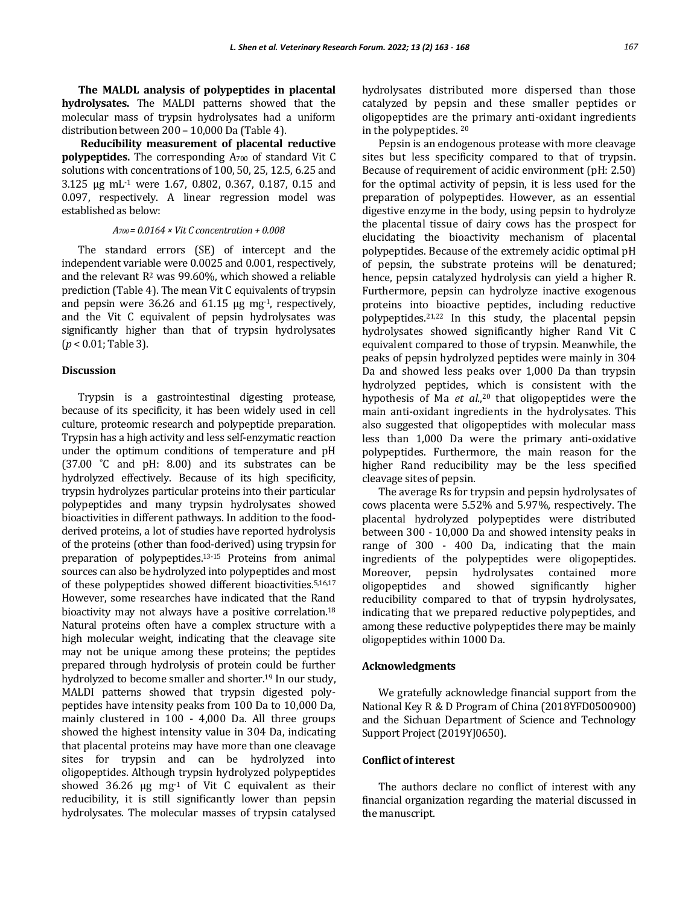**The MALDL analysis of polypeptides in placental hydrolysates.** The MALDI patterns showed that the molecular mass of trypsin hydrolysates had a uniform distribution between 200 – 10,000 Da (Table 4).

**Reducibility measurement of placental reductive polypeptides.** The corresponding A<sub>700</sub> of standard Vit C solutions with concentrations of 100, 50, 25, 12.5, 6.25 and 3.125 μg mL-1 were 1.67, 0.802, 0.367, 0.187, 0.15 and 0.097, respectively. A linear regression model was established as below:

#### *A700 = 0.0164 × Vit C concentration + 0.008*

The standard errors (SE) of intercept and the independent variable were 0.0025 and 0.001, respectively, and the relevant  $R^2$  was 99.60%, which showed a reliable prediction (Table 4). The mean Vit C equivalents of trypsin and pepsin were 36.26 and 61.15 μg mg-1, respectively, and the Vit C equivalent of pepsin hydrolysates was significantly higher than that of trypsin hydrolysates (*p* < 0.01; Table 3).

#### **Discussion**

Trypsin is a gastrointestinal digesting protease, because of its specificity, it has been widely used in cell culture, proteomic research and polypeptide preparation. Trypsin has a high activity and less self-enzymatic reaction under the optimum conditions of temperature and pH (37.00 ˚C and pH: 8.00) and its substrates can be hydrolyzed effectively. Because of its high specificity, trypsin hydrolyzes particular proteins into their particular polypeptides and many trypsin hydrolysates showed bioactivities in different pathways. In addition to the foodderived proteins, a lot of studies have reported hydrolysis of the proteins (other than food-derived) using trypsin for preparation of polypeptides.13-15 Proteins from animal sources can also be hydrolyzed into polypeptides and most of these polypeptides showed different bioactivities.5,16,17 However, some researches have indicated that the Rand bioactivity may not always have a positive correlation.<sup>18</sup> Natural proteins often have a complex structure with a high molecular weight, indicating that the cleavage site may not be unique among these proteins; the peptides prepared through hydrolysis of protein could be further hydrolyzed to become smaller and shorter.<sup>19</sup> In our study, MALDI patterns showed that trypsin digested polypeptides have intensity peaks from 100 Da to 10,000 Da, mainly clustered in 100 - 4,000 Da. All three groups showed the highest intensity value in 304 Da, indicating that placental proteins may have more than one cleavage sites for trypsin and can be hydrolyzed into oligopeptides. Although trypsin hydrolyzed polypeptides showed 36.26  $\mu$ g mg<sup>-1</sup> of Vit C equivalent as their reducibility, it is still significantly lower than pepsin hydrolysates. The molecular masses of trypsin catalysed

hydrolysates distributed more dispersed than those catalyzed by pepsin and these smaller peptides or oligopeptides are the primary anti-oxidant ingredients in the polypeptides. <sup>20</sup>

Pepsin is an endogenous protease with more cleavage sites but less specificity compared to that of trypsin. Because of requirement of acidic environment (pH: 2.50) for the optimal activity of pepsin, it is less used for the preparation of polypeptides. However, as an essential digestive enzyme in the body, using pepsin to hydrolyze the placental tissue of dairy cows has the prospect for elucidating the bioactivity mechanism of placental polypeptides. Because of the extremely acidic optimal pH of pepsin, the substrate proteins will be denatured; hence, pepsin catalyzed hydrolysis can yield a higher R. Furthermore, pepsin can hydrolyze inactive exogenous proteins into bioactive peptides, including reductive polypeptides.21,22 In this study, the placental pepsin hydrolysates showed significantly higher Rand Vit C equivalent compared to those of trypsin. Meanwhile, the peaks of pepsin hydrolyzed peptides were mainly in 304 Da and showed less peaks over 1,000 Da than trypsin hydrolyzed peptides, which is consistent with the hypothesis of Ma *et al.*, <sup>20</sup> that oligopeptides were the main anti-oxidant ingredients in the hydrolysates. This also suggested that oligopeptides with molecular mass less than 1,000 Da were the primary anti-oxidative polypeptides. Furthermore, the main reason for the higher Rand reducibility may be the less specified cleavage sites of pepsin.

The average Rs for trypsin and pepsin hydrolysates of cows placenta were 5.52% and 5.97%, respectively. The placental hydrolyzed polypeptides were distributed between 300 - 10,000 Da and showed intensity peaks in range of 300 - 400 Da, indicating that the main ingredients of the polypeptides were oligopeptides. Moreover, pepsin hydrolysates contained more oligopeptides and showed significantly higher reducibility compared to that of trypsin hydrolysates, indicating that we prepared reductive polypeptides, and among these reductive polypeptides there may be mainly oligopeptides within 1000 Da.

#### **Acknowledgments**

We gratefully acknowledge financial support from the National Key R & D Program of China (2018YFD0500900) and the Sichuan Department of Science and Technology Support Project (2019YJ0650).

#### **Conflict of interest**

The authors declare no conflict of interest with any financial organization regarding the material discussed in the manuscript.